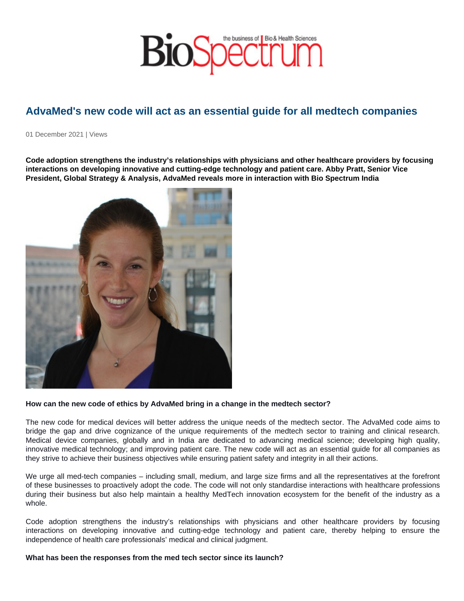## AdvaMed's new code will act as an essential guide for all medtech companies

01 December 2021 | Views

Code adoption strengthens the industry's relationships with physicians and other healthcare providers by focusing interactions on developing innovative and cutting-edge technology and patient care. Abby Pratt, Senior Vice President, Global Strategy & Analysis, AdvaMed reveals more in interaction with Bio Spectrum India

How can the new code of ethics by AdvaMed bring in a change in the medtech sector?

The new code for medical devices will better address the unique needs of the medtech sector. The AdvaMed code aims to bridge the gap and drive cognizance of the unique requirements of the medtech sector to training and clinical research. Medical device companies, globally and in India are dedicated to advancing medical science; developing high quality, innovative medical technology; and improving patient care. The new code will act as an essential guide for all companies as they strive to achieve their business objectives while ensuring patient safety and integrity in all their actions.

We urge all med-tech companies – including small, medium, and large size firms and all the representatives at the forefront of these businesses to proactively adopt the code. The code will not only standardise interactions with healthcare professions during their business but also help maintain a healthy MedTech innovation ecosystem for the benefit of the industry as a whole.

Code adoption strengthens the industry's relationships with physicians and other healthcare providers by focusing interactions on developing innovative and cutting-edge technology and patient care, thereby helping to ensure the independence of health care professionals' medical and clinical judgment.

What has been the responses from the med tech sector since its launch?